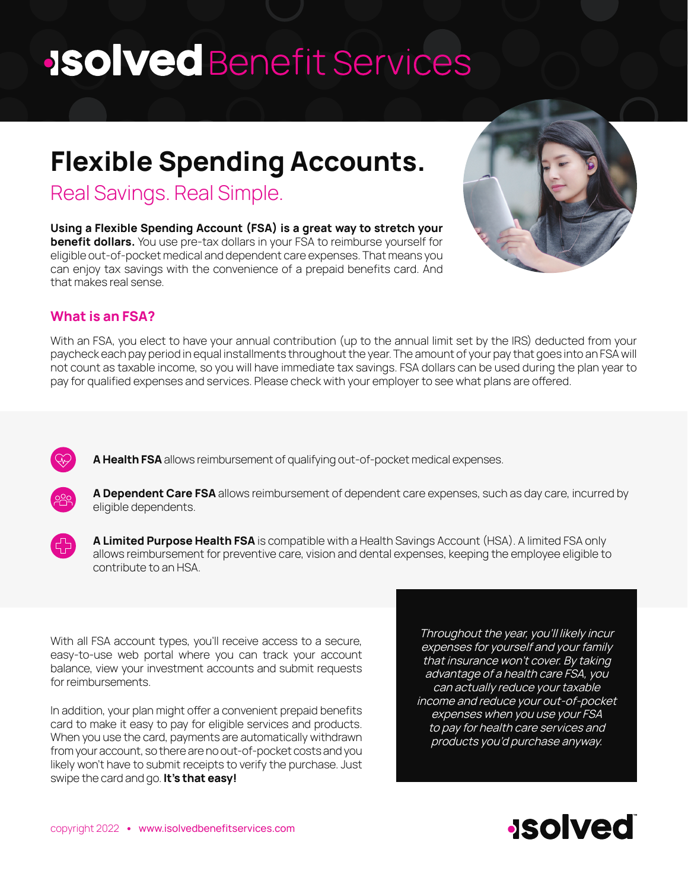# **ISOIVEC** Benefit Services

# **Flexible Spending Accounts.**

Real Savings. Real Simple.

**Using a Flexible Spending Account (FSA) is a great way to stretch your benefit dollars.** You use pre-tax dollars in your FSA to reimburse yourself for eligible out-of-pocket medical and dependent care expenses. That means you can enjoy tax savings with the convenience of a prepaid benefits card. And that makes real sense.



# **What is an FSA?**

With an FSA, you elect to have your annual contribution (up to the annual limit set by the IRS) deducted from your paycheck each pay period in equal installments throughout the year. The amount of your pay that goes into an FSA will not count as taxable income, so you will have immediate tax savings. FSA dollars can be used during the plan year to pay for qualified expenses and services. Please check with your employer to see what plans are offered.

**A Health FSA** allows reimbursement of qualifying out-of-pocket medical expenses.



**A Dependent Care FSA** allows reimbursement of dependent care expenses, such as day care, incurred by eligible dependents.



**A Limited Purpose Health FSA** is compatible with a Health Savings Account (HSA). A limited FSA only allows reimbursement for preventive care, vision and dental expenses, keeping the employee eligible to contribute to an HSA.

With all FSA account types, you'll receive access to a secure, easy-to-use web portal where you can track your account balance, view your investment accounts and submit requests for reimbursements.

In addition, your plan might offer a convenient prepaid benefits card to make it easy to pay for eligible services and products. When you use the card, payments are automatically withdrawn from your account, so there are no out-of-pocket costs and you likely won't have to submit receipts to verify the purchase. Just swipe the card and go. **It's that easy!**

Throughout the year, you'll likely incur expenses for yourself and your family that insurance won't cover. By taking advantage of a health care FSA, you can actually reduce your taxable income and reduce your out-of-pocket expenses when you use your FSA to pay for health care services and products you'd purchase anyway.